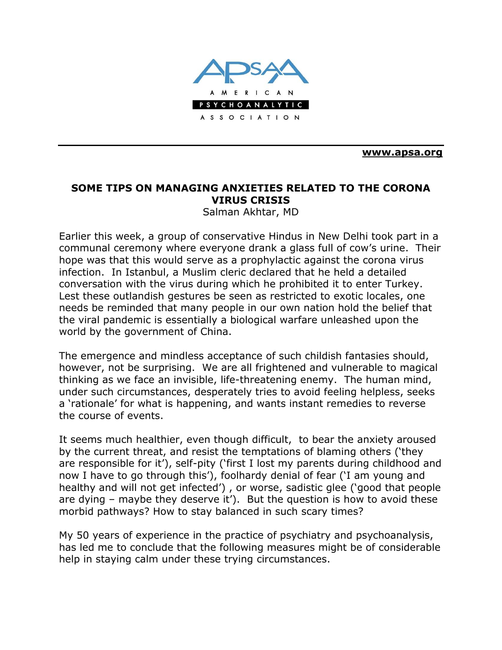

**[www.apsa.org](http://www.apsa.org/)**

## **SOME TIPS ON MANAGING ANXIETIES RELATED TO THE CORONA VIRUS CRISIS**

Salman Akhtar, MD

Earlier this week, a group of conservative Hindus in New Delhi took part in a communal ceremony where everyone drank a glass full of cow's urine. Their hope was that this would serve as a prophylactic against the corona virus infection. In Istanbul, a Muslim cleric declared that he held a detailed conversation with the virus during which he prohibited it to enter Turkey. Lest these outlandish gestures be seen as restricted to exotic locales, one needs be reminded that many people in our own nation hold the belief that the viral pandemic is essentially a biological warfare unleashed upon the world by the government of China.

The emergence and mindless acceptance of such childish fantasies should, however, not be surprising. We are all frightened and vulnerable to magical thinking as we face an invisible, life-threatening enemy. The human mind, under such circumstances, desperately tries to avoid feeling helpless, seeks a 'rationale' for what is happening, and wants instant remedies to reverse the course of events.

It seems much healthier, even though difficult, to bear the anxiety aroused by the current threat, and resist the temptations of blaming others ('they are responsible for it'), self-pity ('first I lost my parents during childhood and now I have to go through this'), foolhardy denial of fear ('I am young and healthy and will not get infected') , or worse, sadistic glee ('good that people are dying – maybe they deserve it'). But the question is how to avoid these morbid pathways? How to stay balanced in such scary times?

My 50 years of experience in the practice of psychiatry and psychoanalysis, has led me to conclude that the following measures might be of considerable help in staying calm under these trying circumstances.